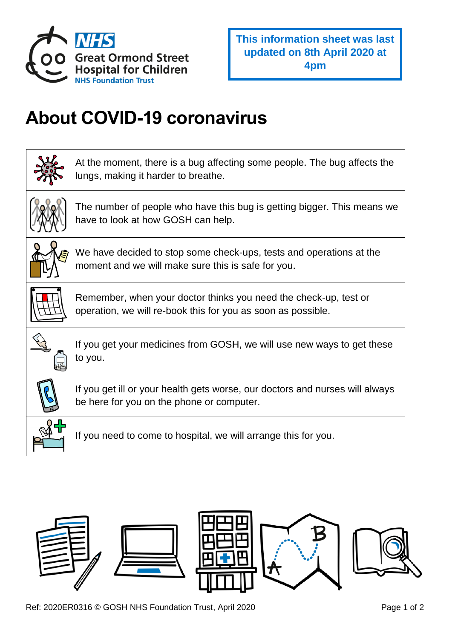

## **About COVID-19 coronavirus**